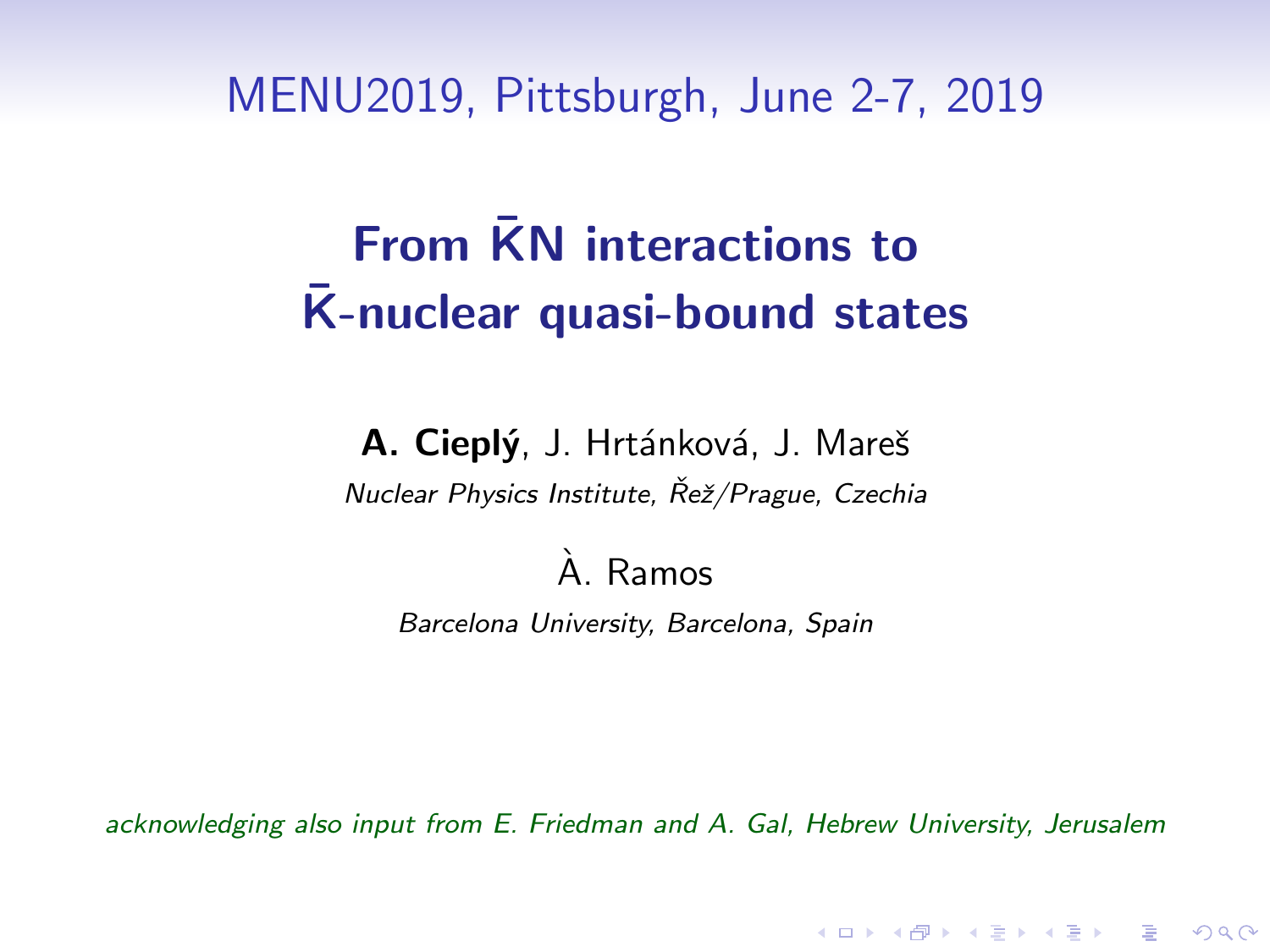MENU2019, Pittsburgh, June 2-7, 2019

# From  $\bar{K}N$  interactions to  $\overline{K}$ -nuclear quasi-bound states

A. Cieplý, J. Hrtánková, J. Mareš Nuclear Physics Institute, Řež/Prague, Czechia

#### A. Ramos `

Barcelona University, Barcelona, Spain

acknowledging also input from E. Friedman and A. Gal, Hebrew University, Jerusalem

4 D > 4 P + 4 B + 4 B + B + 9 Q O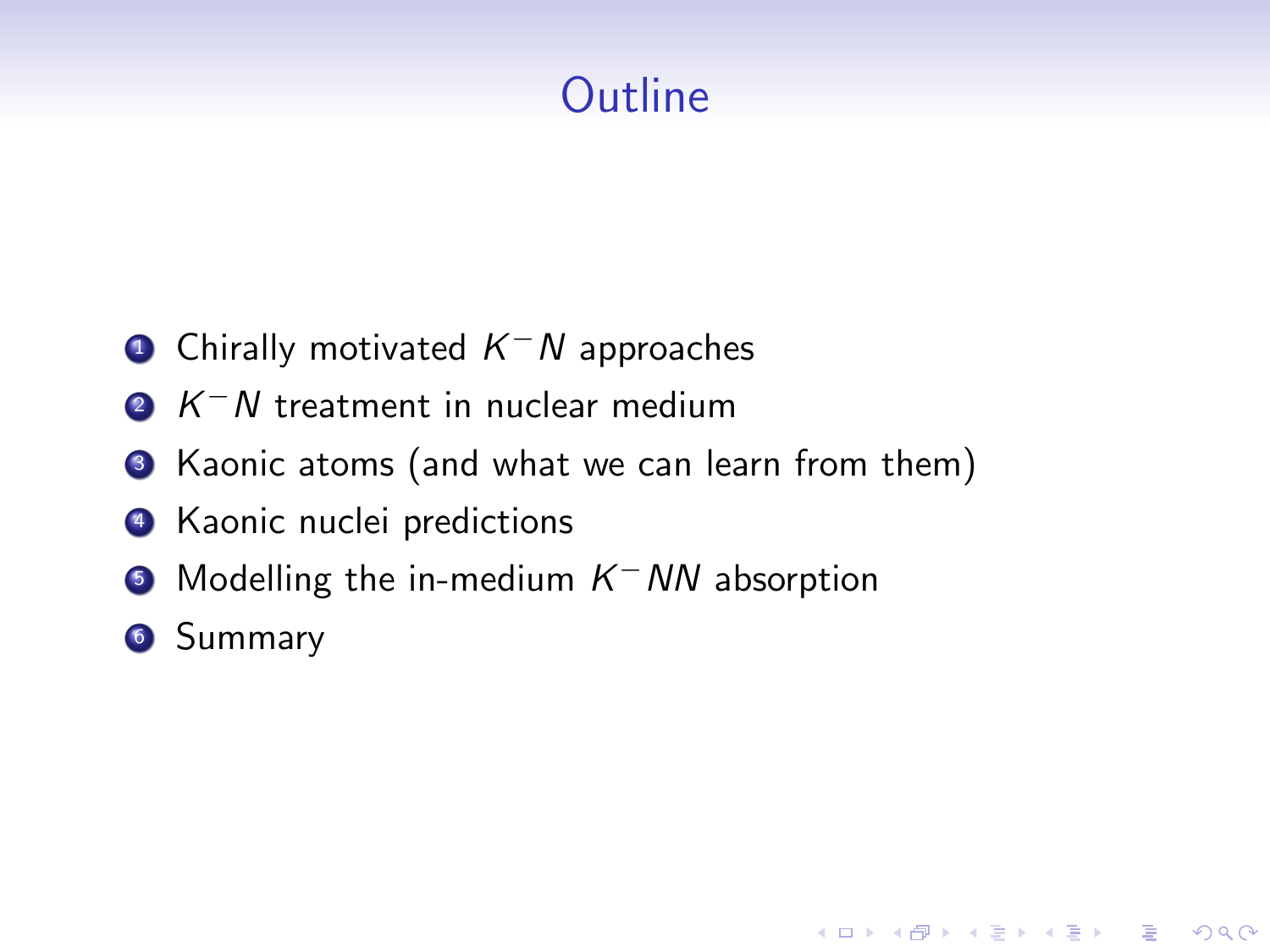# **Outline**

**KORK ERKER ADE YOUR** 

- $\textcolor{red}{\bullet}$  Chirally motivated  $\textcolor{red}{\mathcal{K}^-N}$  approaches
- $2 K^- N$  treatment in nuclear medium
- <sup>3</sup> Kaonic atoms (and what we can learn from them)
- <sup>4</sup> Kaonic nuclei predictions
- **5** Modelling the in-medium  $K$ <sup>–</sup> NN absorption
- **6** Summary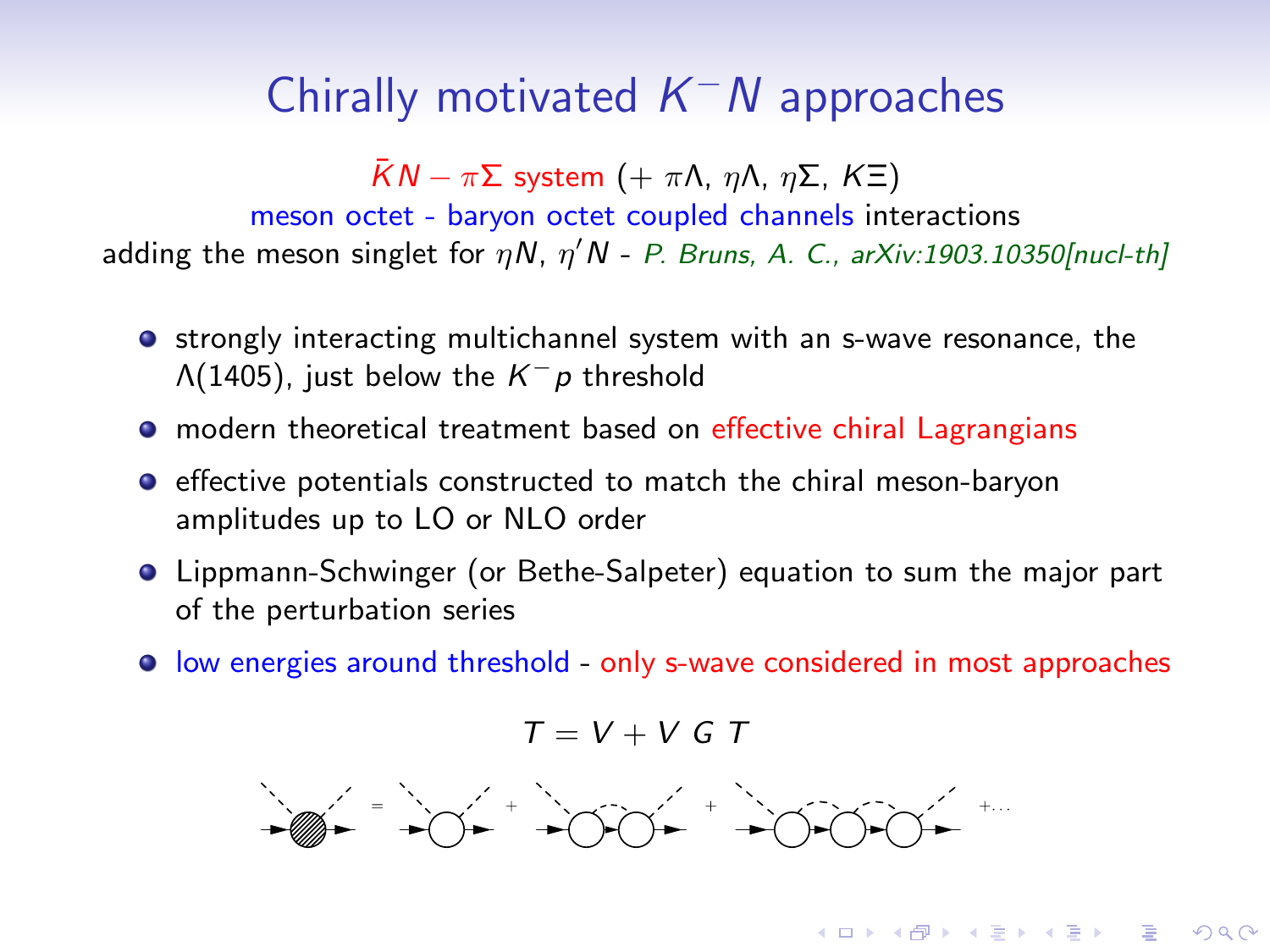# Chirally motivated  $K^-N$  approaches

 $\overline{K}N - \pi \Sigma$  system  $(+ \pi \Lambda, \eta \Lambda, \eta \Sigma, K \Xi)$ 

meson octet - baryon octet coupled channels interactions adding the meson singlet for  $\eta N$ ,  $\eta' N$  - P. Bruns, A. C., arXiv:1903.10350[nucl-th]

- **•** strongly interacting multichannel system with an s-wave resonance, the  $\Lambda(1405)$ , just below the  $K^-p$  threshold
- modern theoretical treatment based on effective chiral Lagrangians
- **•** effective potentials constructed to match the chiral meson-baryon amplitudes up to LO or NLO order
- Lippmann-Schwinger (or Bethe-Salpeter) equation to sum the major part of the perturbation series
- low energies around threshold only s-wave considered in most approaches

$$
T = V + V G T
$$



**KORK (FRAGE) EL POLO**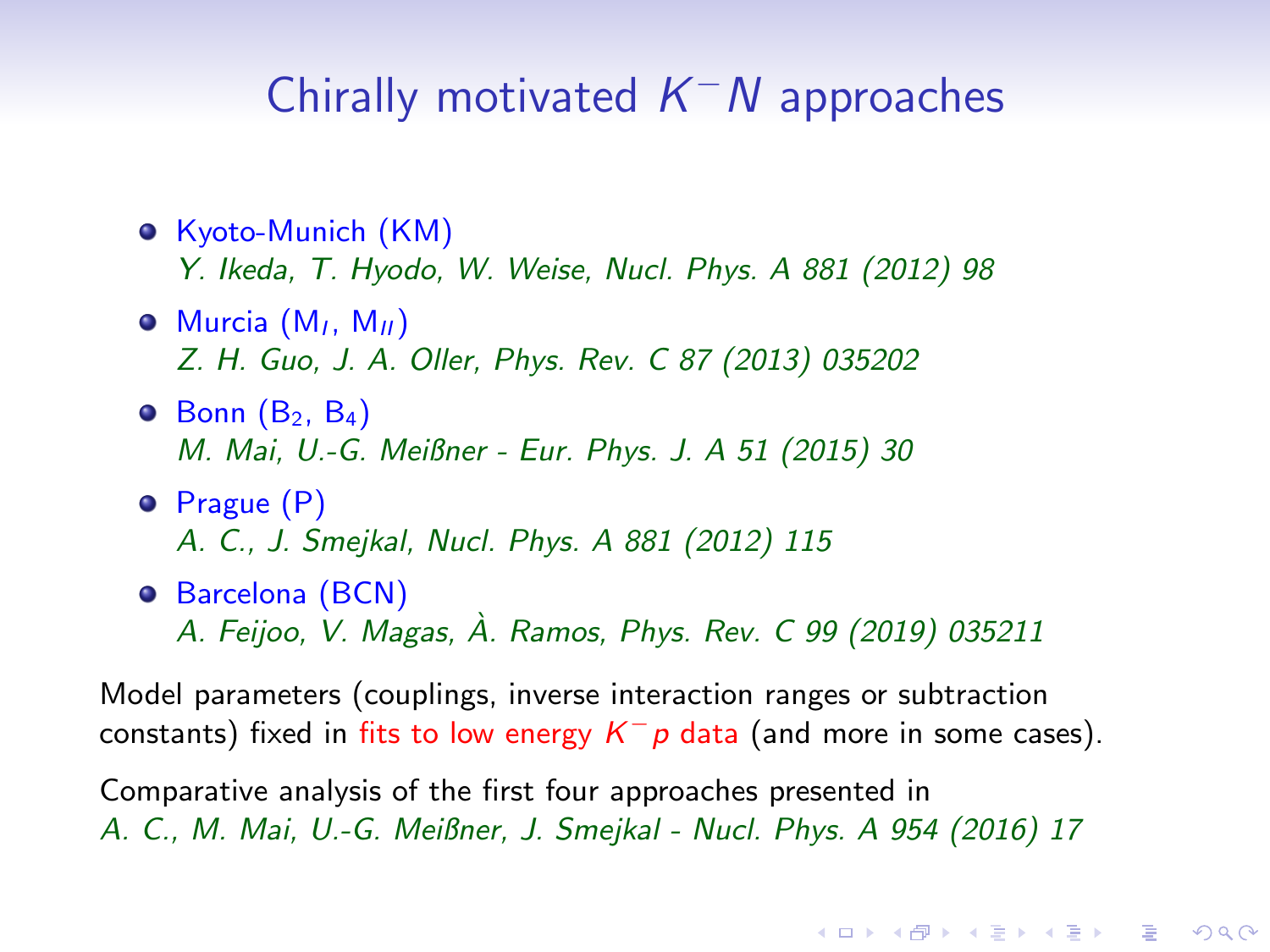# Chirally motivated  $K^-N$  approaches

- **o** Kyoto-Munich (KM) Y. Ikeda, T. Hyodo, W. Weise, Nucl. Phys. A 881 (2012) 98
- $\odot$  Murcia  $(M_1, M_{II})$ Z. H. Guo, J. A. Oller, Phys. Rev. C 87 (2013) 035202
- $\bullet$  Bonn  $(B_2, B_4)$ M. Mai, U.-G. Meißner - Eur. Phys. J. A 51 (2015) 30
- **•** Prague (P) A. C., J. Smejkal, Nucl. Phys. A 881 (2012) 115
- **•** Barcelona (BCN) A. Feijoo, V. Magas, A. Ramos, Phys. Rev. C 99 (2019) 035211 `

Model parameters (couplings, inverse interaction ranges or subtraction constants) fixed in fits to low energy  $K^-p$  data (and more in some cases).

Comparative analysis of the first four approaches presented in A. C., M. Mai, U.-G. Meißner, J. Smejkal - Nucl. Phys. A 954 (2016) 17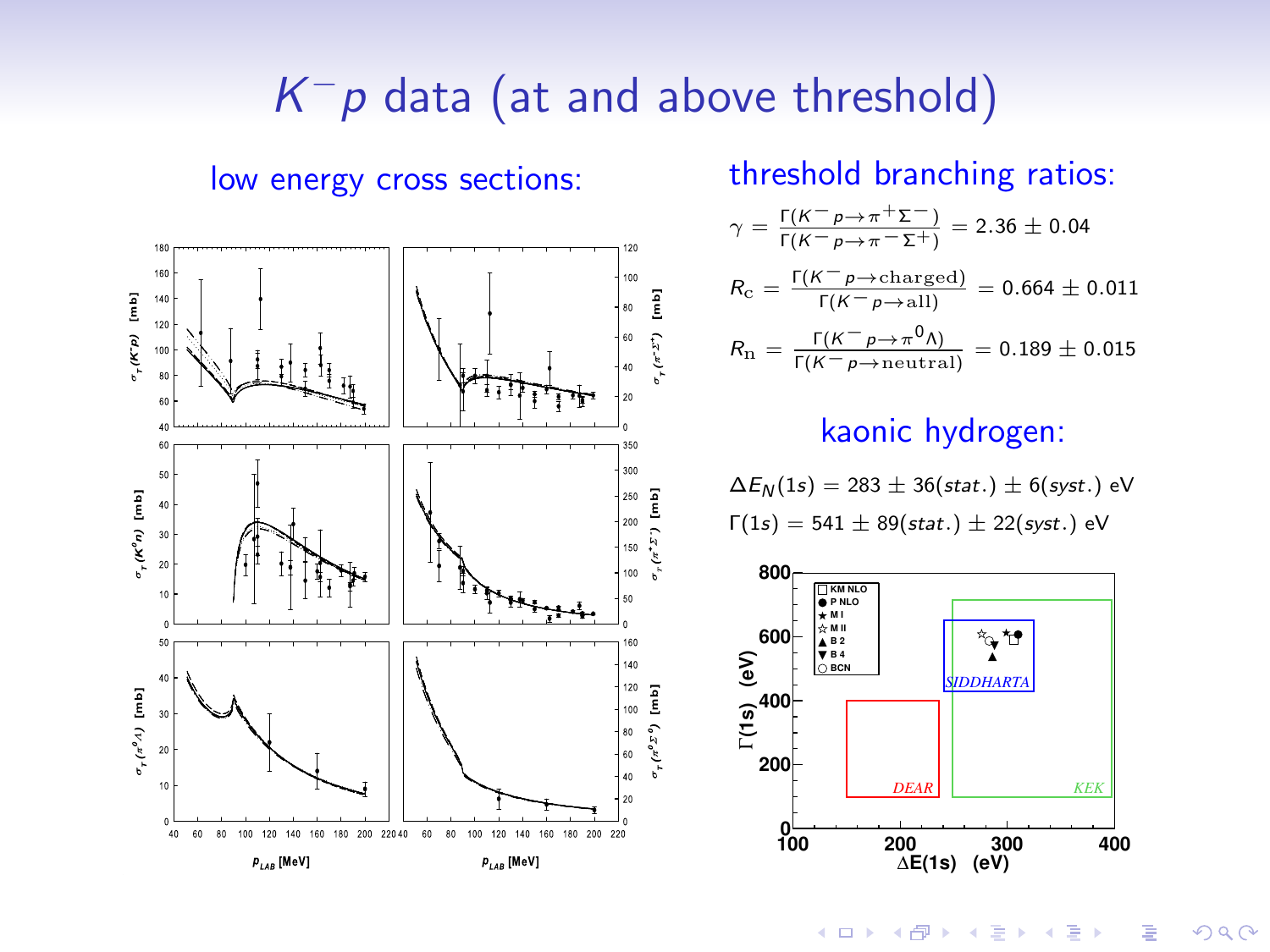# $K^-p$  data (at and above threshold)



low energy cross sections: threshold branching ratios:

$$
\gamma = \frac{\Gamma(K^- \rho \to \pi^+ \Sigma^-)}{\Gamma(K^- \rho \to \pi^- \Sigma^+)} = 2.36 \pm 0.04
$$

$$
R_{\rm c} = \frac{\Gamma(\mathcal{K}^- \rho \to {\rm charged})}{\Gamma(\mathcal{K}^- \rho \to {\rm all})} = 0.664 \pm 0.011
$$

$$
R_{\rm n} = \frac{\Gamma(K^- \rho \to \pi^0 \Lambda)}{\Gamma(K^- \rho \to \text{neutral})} = 0.189 \pm 0.015
$$

#### kaonic hydrogen:

$$
\Delta E_N(1s) = 283 \pm 36(stat.) \pm 6(syst.)
$$
 eV  
 $\Gamma(1s) = 541 \pm 89(stat.) \pm 22(syst.)$  eV



 $299$ **K ロ ト K 伊 ト K ヨ ト** Þ Ε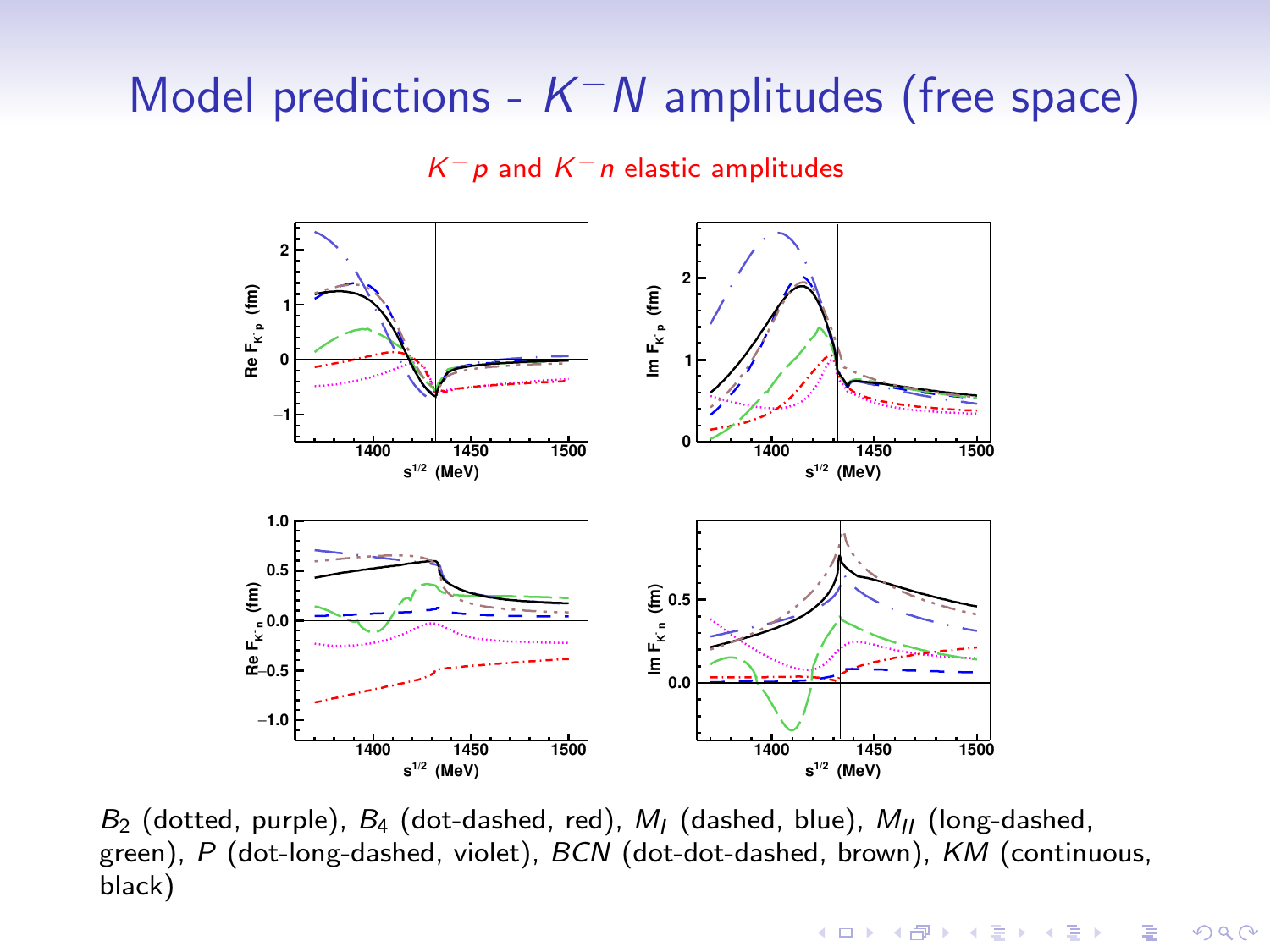# Model predictions -  $K^-N$  amplitudes (free space)

#### $K^-p$  and  $K^-n$  elastic amplitudes



 $B_2$  (dotted, purple),  $B_4$  (dot-dashed, red),  $M_1$  (dashed, blue),  $M_{II}$  (long-dashed, green), P (dot-long-dashed, violet), BCN (dot-dot-dashed, brown), KM (continuous, black)

 $\mathbf{A} \equiv \mathbf{A} + \mathbf{B} + \mathbf{A} + \mathbf{B} + \mathbf{A} + \mathbf{B} + \mathbf{A} + \mathbf{B} + \mathbf{A} + \mathbf{B} + \mathbf{A} + \mathbf{B} + \mathbf{A} + \mathbf{B} + \mathbf{A} + \mathbf{B} + \mathbf{A} + \mathbf{B} + \mathbf{A} + \mathbf{B} + \mathbf{A} + \mathbf{B} + \mathbf{A} + \mathbf{B} + \mathbf{A} + \mathbf{B} + \mathbf{A} + \mathbf{B} + \mathbf{A} + \mathbf{B} + \math$ 

 $2990$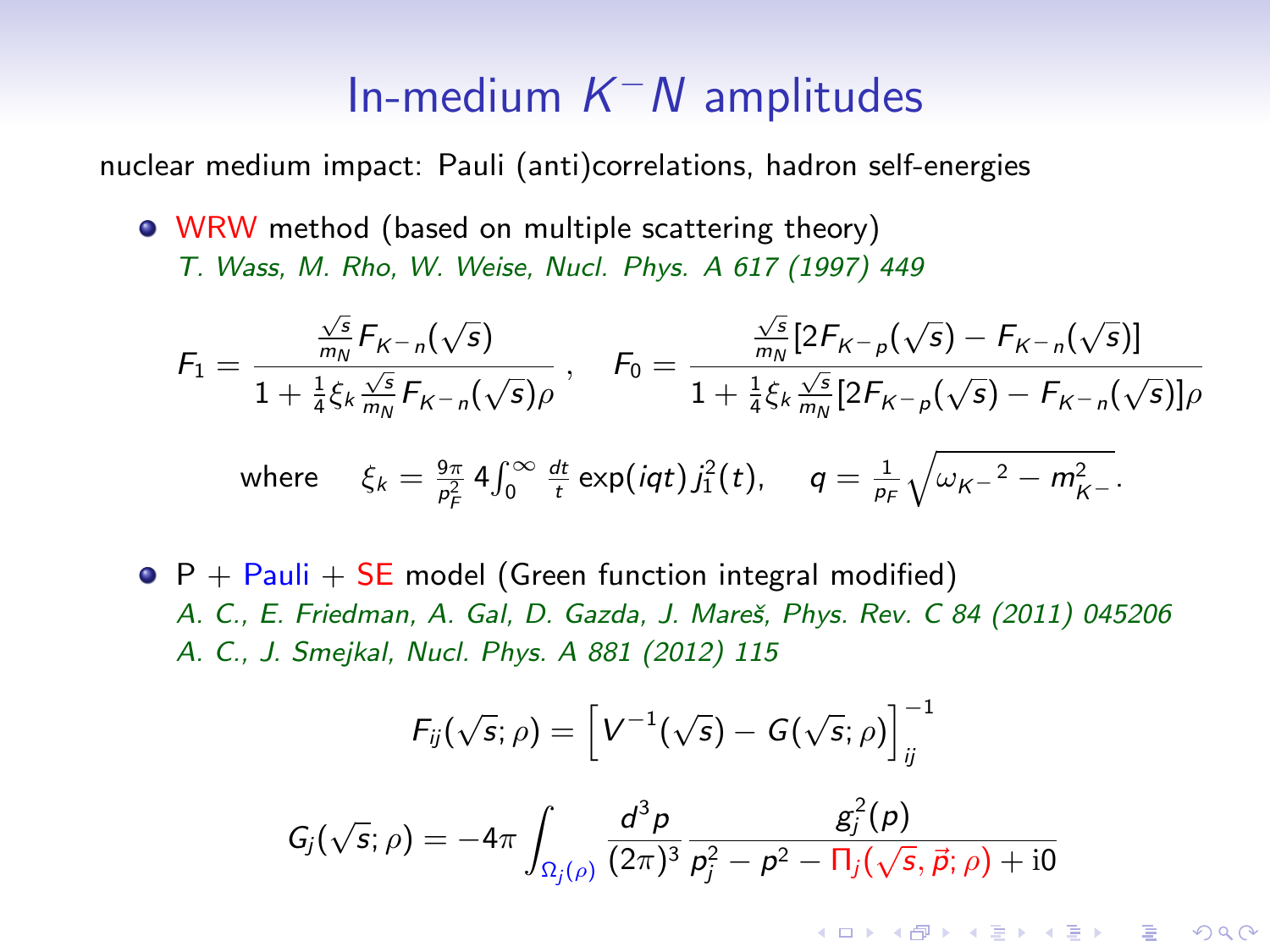# In-medium  $K^-N$  amplitudes

nuclear medium impact: Pauli (anti)correlations, hadron self-energies

**• WRW** method (based on multiple scattering theory) T. Wass, M. Rho, W. Weise, Nucl. Phys. A 617 (1997) 449

$$
F_1 = \frac{\frac{\sqrt{s}}{m_N} F_{K-n}(\sqrt{s})}{1 + \frac{1}{4} \xi_k \frac{\sqrt{s}}{m_N} F_{K-n}(\sqrt{s}) \rho}, \quad F_0 = \frac{\frac{\sqrt{s}}{m_N} [2F_{K-p}(\sqrt{s}) - F_{K-n}(\sqrt{s})]}{1 + \frac{1}{4} \xi_k \frac{\sqrt{s}}{m_N} [2F_{K-p}(\sqrt{s}) - F_{K-n}(\sqrt{s})] \rho}
$$
  
where  $\xi_k = \frac{9\pi}{\rho_F^2} 4 \int_0^\infty \frac{dt}{t} \exp(iqt) j_1^2(t), \quad q = \frac{1}{\rho_F} \sqrt{\omega_{K-}^2 - m_{K-}^2}.$ 

 $\bullet$  P + Pauli + SE model (Green function integral modified) A. C., E. Friedman, A. Gal, D. Gazda, J. Mareš, Phys. Rev. C 84 (2011) 045206 A. C., J. Smejkal, Nucl. Phys. A 881 (2012) 115

$$
F_{ij}(\sqrt{s};\rho)=\left[V^{-1}(\sqrt{s})-G(\sqrt{s};\rho)\right]_{ij}^{-1}
$$

$$
G_j(\sqrt{s};\rho) = -4\pi \int_{\Omega_j(\rho)} \frac{d^3 p}{(2\pi)^3} \frac{g_j^2(\rho)}{p_j^2 - p^2 - \Pi_j(\sqrt{s}, \vec{p}; \rho) + i0}
$$

**KORK ERKER ADE YOUR**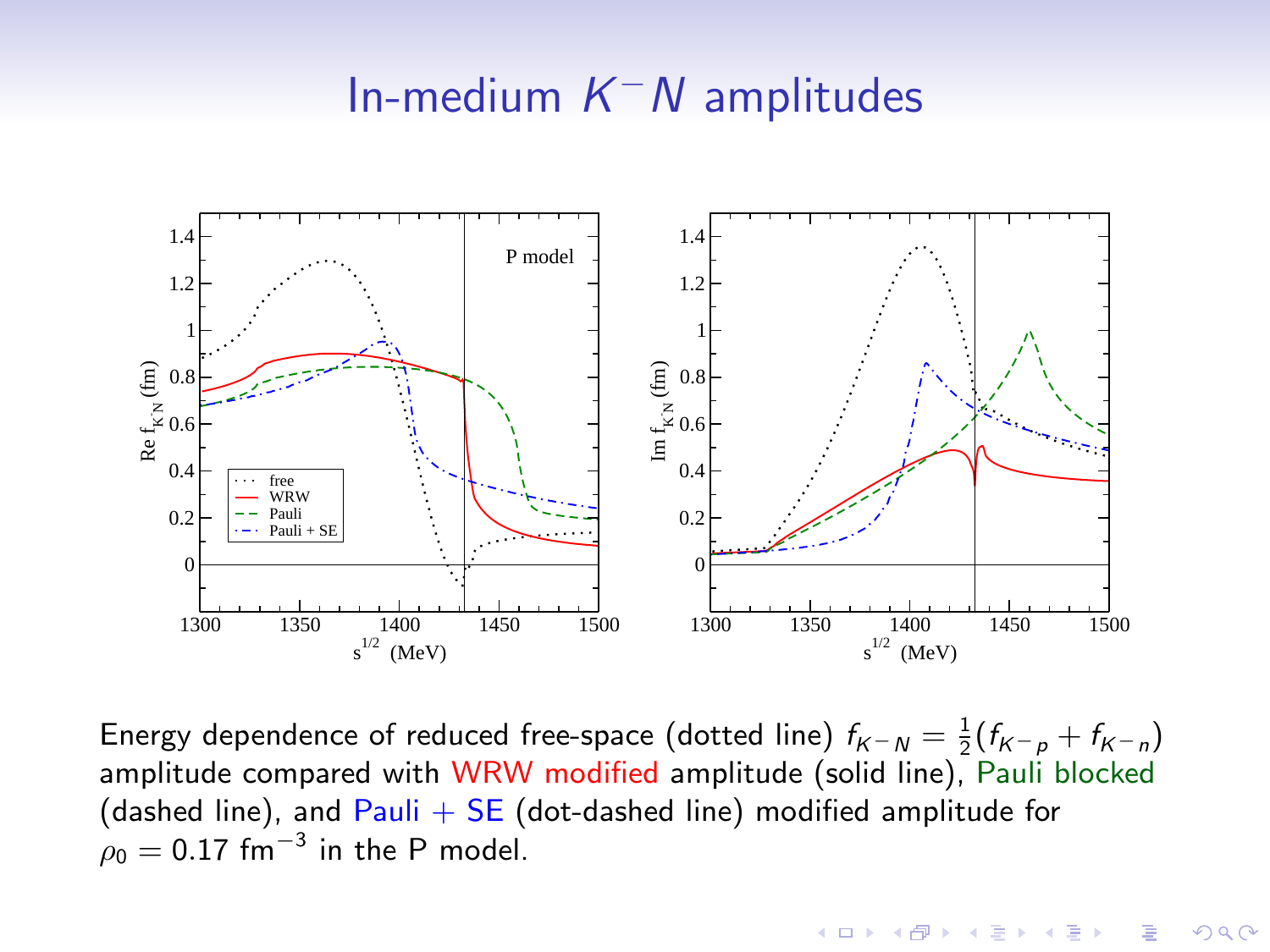# In-medium  $K^-N$  amplitudes



Energy dependence of reduced free-space (dotted line)  $f_{K-N} = \frac{1}{2}(f_{K-p} + f_{K-n})$ amplitude compared with WRW modified amplitude (solid line), Pauli blocked (dashed line), and  $Pauli + SE$  (dot-dashed line) modified amplitude for  $\rho_0 = 0.17$  fm $^{-3}$  in the P model.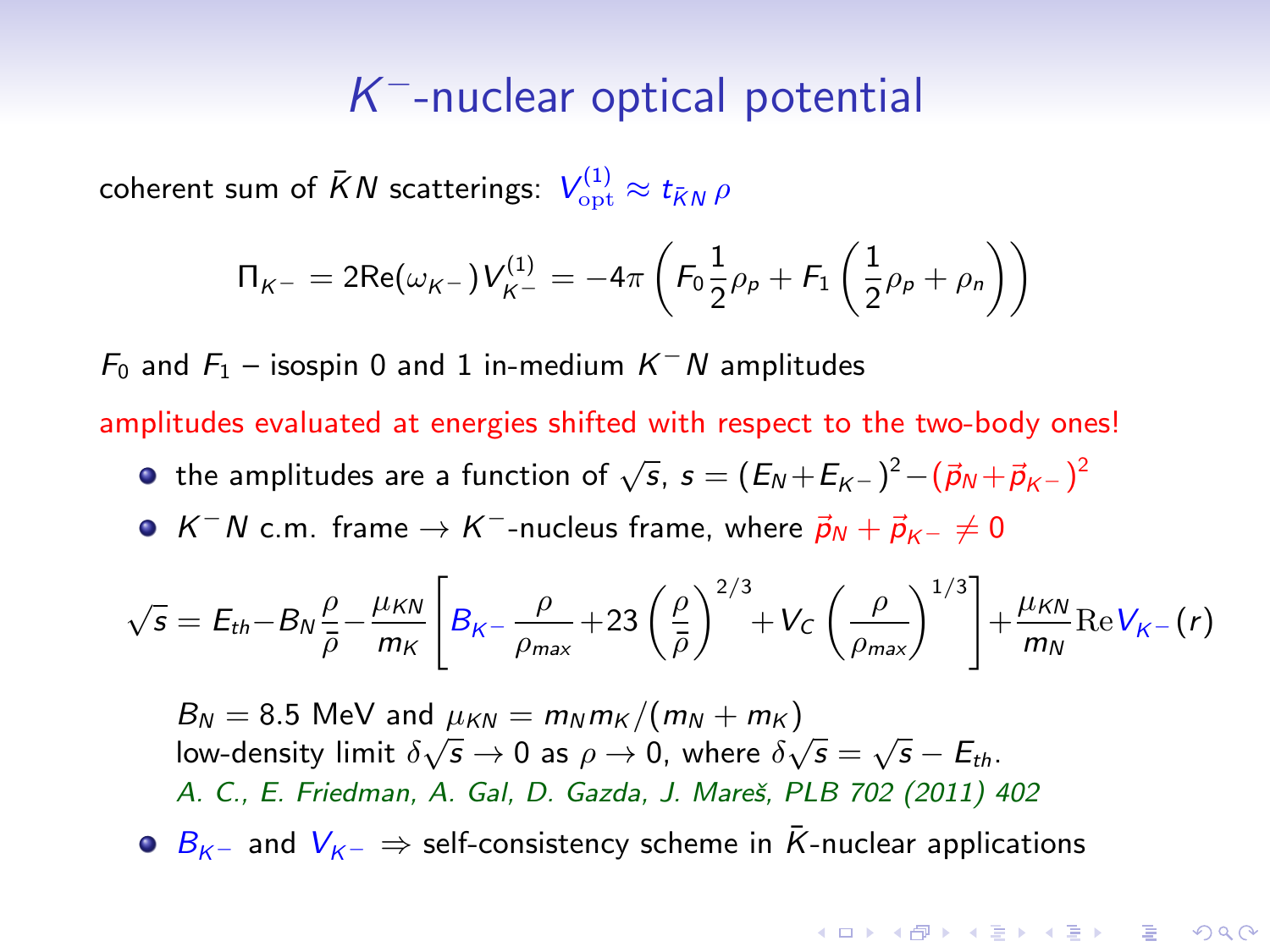# K <sup>−</sup>-nuclear optical potential

coherent sum of  $\bar{K}N$  scatterings:  $\left| V_{\rm opt}^{(1)} \approx t_{\bar{K}N} \, \rho \right|$ 

$$
\Pi_{K^{-}} = 2\text{Re}(\omega_{K^{-}})V_{K^{-}}^{(1)} = -4\pi \left(F_0 \frac{1}{2}\rho_p + F_1 \left(\frac{1}{2}\rho_p + \rho_n\right)\right)
$$

 $F_0$  and  $F_1$  – isospin 0 and 1 in-medium  $K^-N$  amplitudes

amplitudes evaluated at energies shifted with respect to the two-body ones!

- the amplitudes are a function of  $\sqrt{s}$ ,  $s = (E_N + E_{K^-})^2 (\vec{p}_N + \vec{p}_{K^-})^2$
- $K^-N$  c.m. frame  $\rightarrow K^-$ -nucleus frame, where  $\vec{p}_N + \vec{p}_{K^-} \neq 0$

$$
\sqrt{s} = E_{th} - B_N \frac{\rho}{\bar{\rho}} - \frac{\mu_{KN}}{m_K} \left[ B_{K^-} \frac{\rho}{\rho_{max}} + 23 \left( \frac{\rho}{\bar{\rho}} \right)^{2/3} + V_C \left( \frac{\rho}{\rho_{max}} \right)^{1/3} \right] + \frac{\mu_{KN}}{m_N} \text{Re} V_{K^-}(r)
$$

$$
B_N = 8.5 \text{ MeV} \text{ and } \mu_{KN} = m_N m_K / (m_N + m_K)
$$
  
low-density limit  $\delta \sqrt{s} \rightarrow 0$  as  $\rho \rightarrow 0$ , where  $\delta \sqrt{s} = \sqrt{s} - E_{th}$ .  
A. C., E. Friedman, A. Gal, D. Gazda, J. Mareš, PLB 702 (2011) 402

 $\bullet$  B<sub>K</sub>− and  $V_{K^-}$   $\Rightarrow$  self-consistency scheme in  $\bar{K}$ -nuclear applications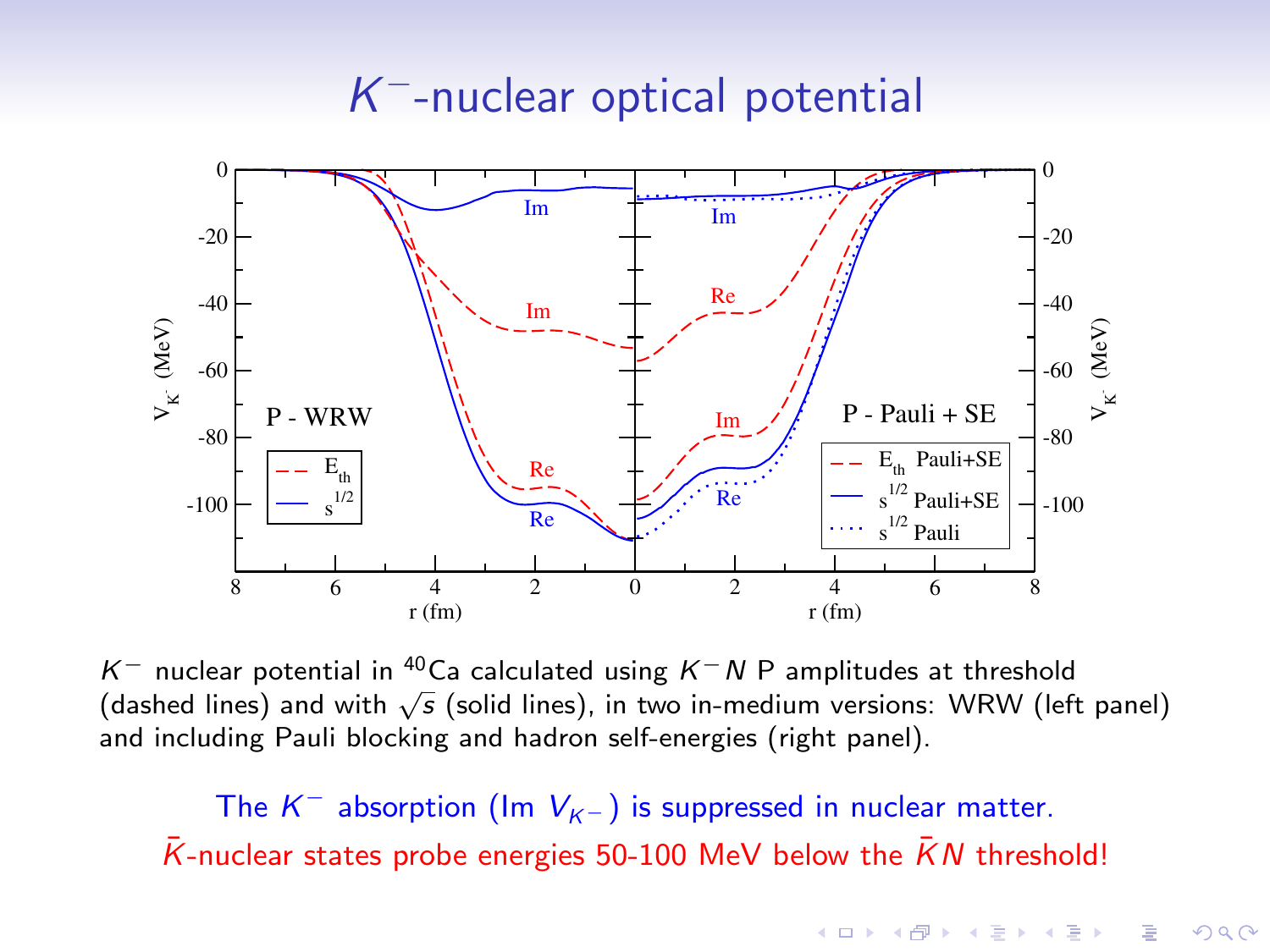# K <sup>−</sup>-nuclear optical potential



K<sup>-</sup> nuclear potential in <sup>40</sup>Ca calculated using K<sup>-</sup>N P amplitudes at threshold n Thuclear potential in Tea calculated using n TV F amplitudes at threshold<br>(dashed lines) and with √s (solid lines), in two in-medium versions: WRW (left panel) and including Pauli blocking and hadron self-energies (right panel).

The  $K^-$  absorption (Im  $V_{K^-}$ ) is suppressed in nuclear matter.  $\overline{K}$ -nuclear states probe energies 50-100 MeV below the  $\overline{K}N$  threshold!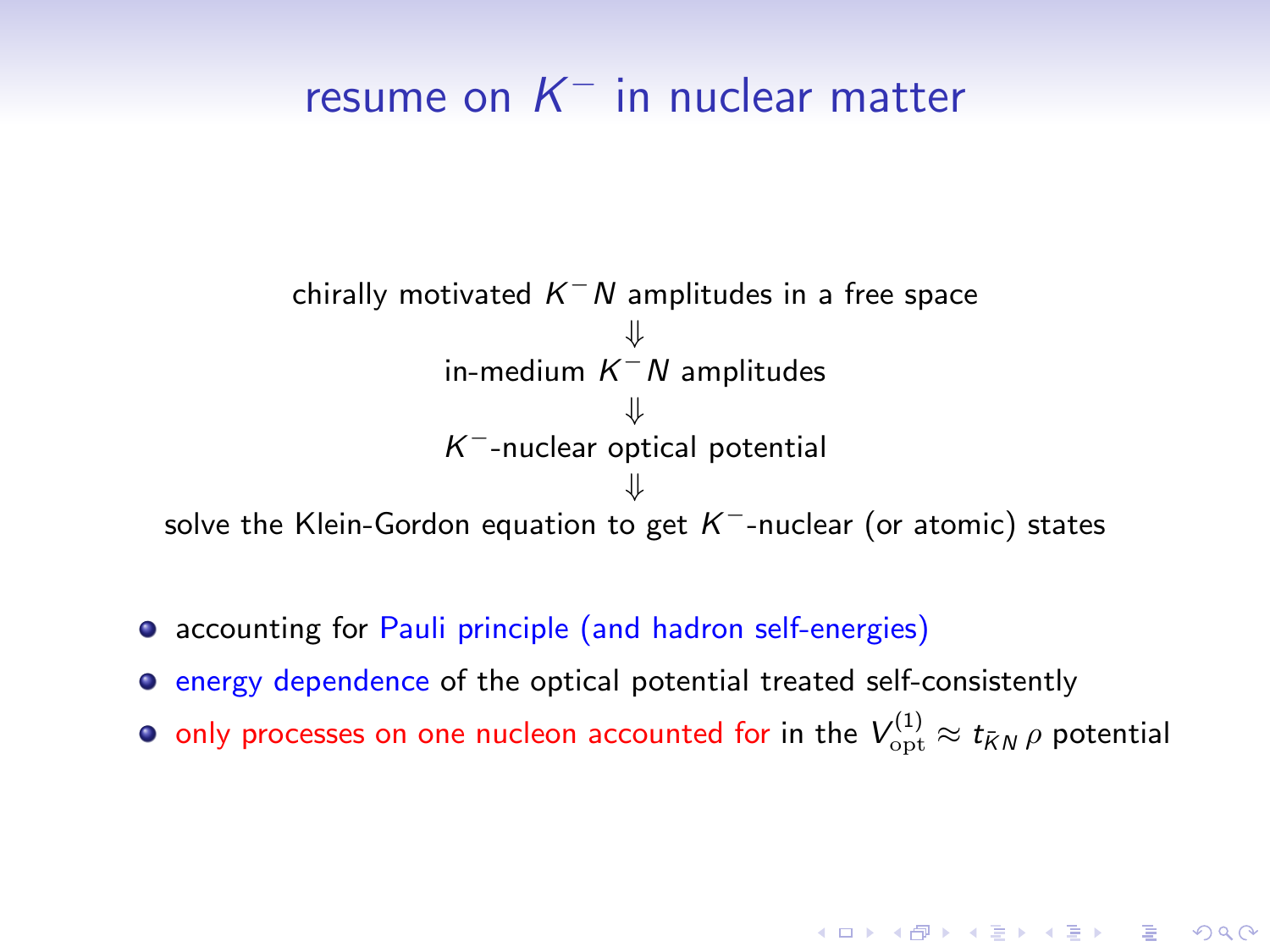# resume on  $K^-$  in nuclear matter

chirally motivated  $K^-N$  amplitudes in a free space ⇓ in-medium  $K^-N$  amplitudes ⇓  $K^-$ -nuclear optical potential ⇓ solve the Klein-Gordon equation to get  $\mathcal{K}^-$ -nuclear (or atomic) states

- accounting for Pauli principle (and hadron self-energies)
- **EXECUTE:** energy dependence of the optical potential treated self-consistently
- only processes on one nucleon accounted for in the  $V_{\rm opt}^{(1)}\approx t_{\bar KN}\,\rho$  potential

**A O A G A 4 O A C A G A G A 4 O A C A**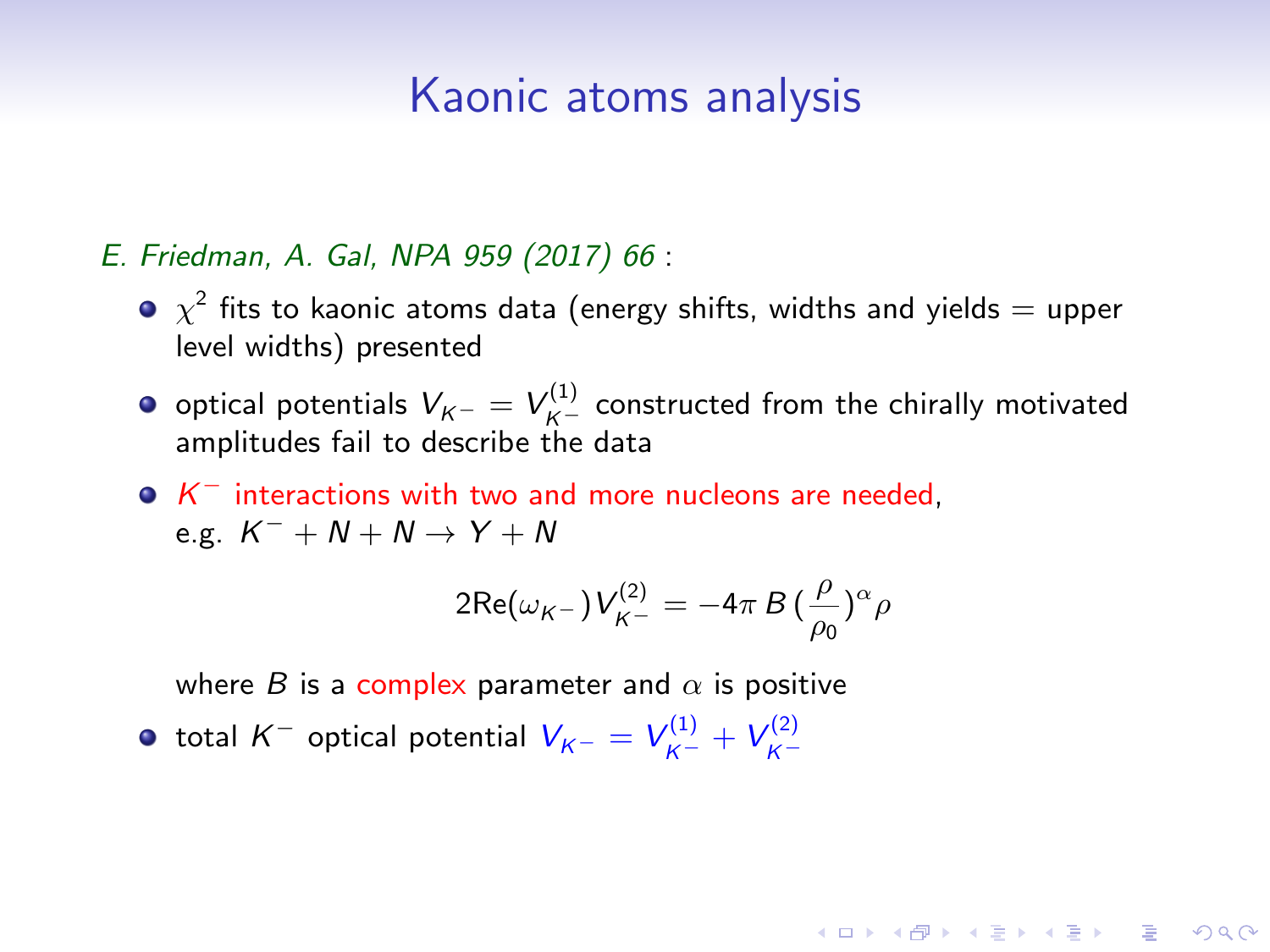#### E. Friedman, A. Gal, NPA 959 (2017) 66 :

- $\chi^2$  fits to kaonic atoms data (energy shifts, widths and yields  $=$  upper level widths) presented
- optical potentials  $V_{K^-} = V_{K^-}^{(1)}$  constructed from the chirally motivated amplitudes fail to describe the data
- $K^-$  interactions with two and more nucleons are needed, e.g.  $K^- + N + N \rightarrow Y + N$

$$
2\text{Re}(\omega_{K^-})V_{K^-}^{(2)} = -4\pi B \left(\frac{\rho}{\rho_0}\right)^{\alpha} \rho
$$

**A O A G A 4 O A C A G A G A 4 O A C A** 

where B is a complex parameter and  $\alpha$  is positive

total  $K^-$  optical potential  $V_{K^-} = V_{K^-}^{(1)} + V_{K^-}^{(2)}$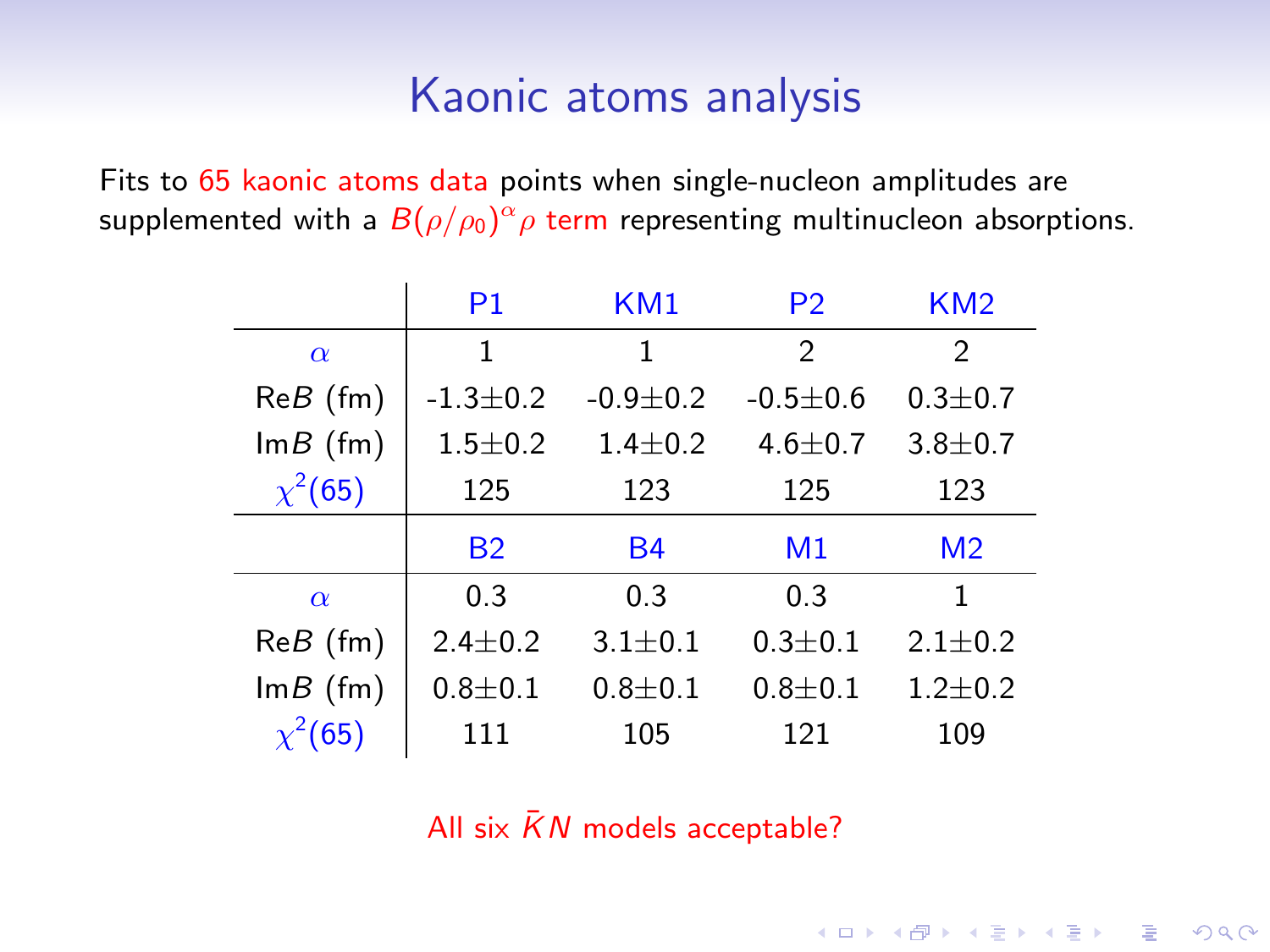Fits to 65 kaonic atoms data points when single-nucleon amplitudes are supplemented with a  $B(\rho/\rho_{0})^{\alpha}\rho$  term representing multinucleon absorptions.

|              | P <sub>1</sub> | KM1            | P <sub>2</sub> | KM <sub>2</sub> |
|--------------|----------------|----------------|----------------|-----------------|
| $\alpha$     | 1              | 1              | $\mathfrak{D}$ | 2               |
| $ReB$ (fm)   | $-1.3 \pm 0.2$ | $-0.9 \pm 0.2$ | $-0.5 \pm 0.6$ | $0.3 \pm 0.7$   |
| $Im B$ (fm)  | $1.5 + 0.2$    | $1.4 \pm 0.2$  | $4.6 \pm 0.7$  | $3.8 + 0.7$     |
| $\chi^2(65)$ | 125            | 123<br>125     |                | 123             |
|              |                |                |                |                 |
|              | <b>B2</b>      | <b>B4</b>      | M <sub>1</sub> | M <sub>2</sub>  |
| $\alpha$     | 0.3            | 0.3            | 0.3            | 1               |
| $ReB$ (fm)   | $2.4 \pm 0.2$  | $3.1 \pm 0.1$  | $0.3 \pm 0.1$  | $2.1 \pm 0.2$   |
| $Im B$ (fm)  | $0.8 + 0.1$    | $0.8 + 0.1$    | $0.8 + 0.1$    | $1.2 \pm 0.2$   |

All six  $\bar{K}N$  models acceptable?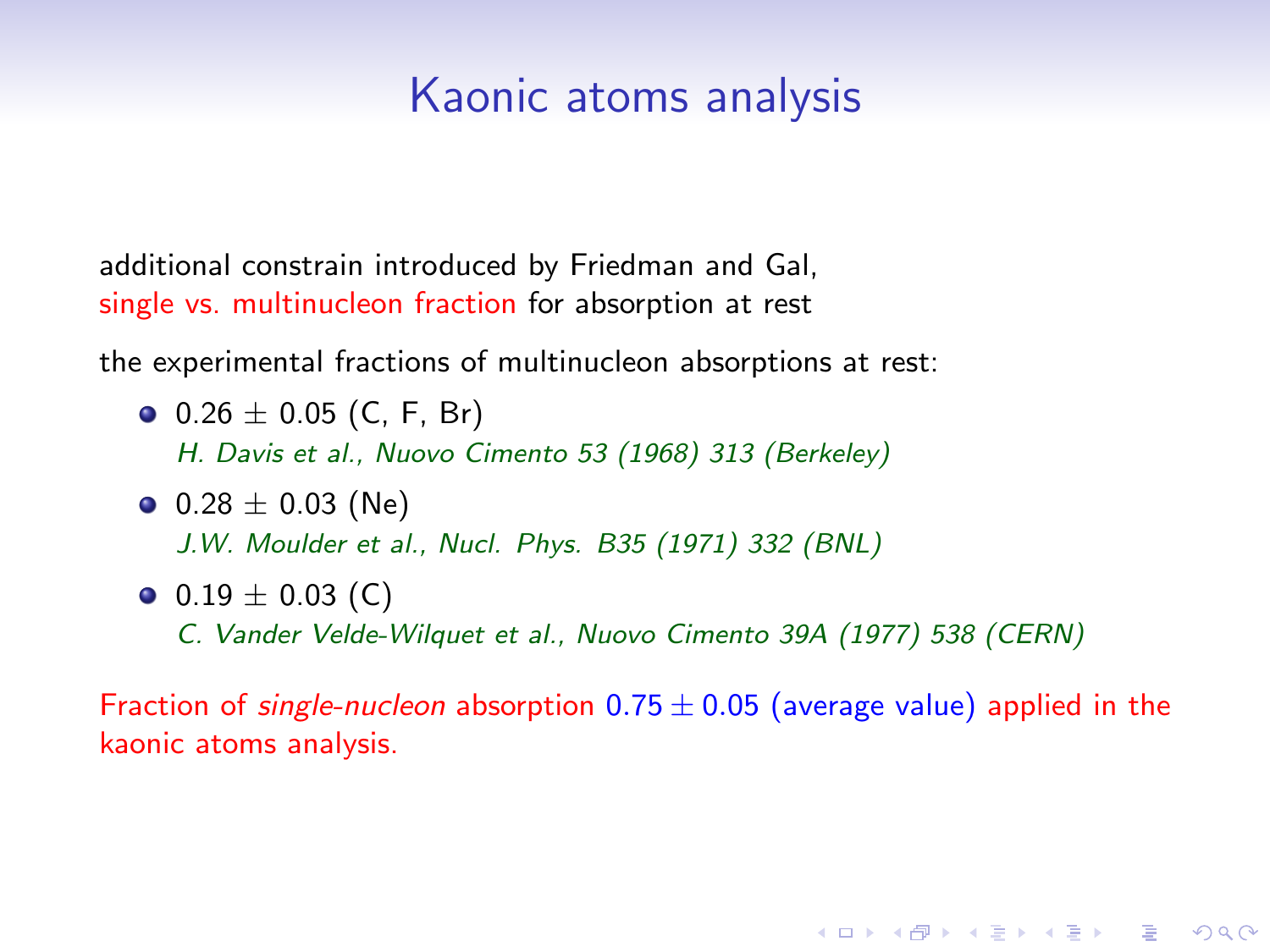additional constrain introduced by Friedman and Gal, single vs. multinucleon fraction for absorption at rest

the experimental fractions of multinucleon absorptions at rest:

- $0.26 \pm 0.05$  (C, F, Br) H. Davis et al., Nuovo Cimento 53 (1968) 313 (Berkeley)
- $\bullet$  0.28  $\pm$  0.03 (Ne) J.W. Moulder et al., Nucl. Phys. B35 (1971) 332 (BNL)
- $\bullet$  0.19  $\pm$  0.03 (C) C. Vander Velde-Wilquet et al., Nuovo Cimento 39A (1977) 538 (CERN)

Fraction of single-nucleon absorption  $0.75 \pm 0.05$  (average value) applied in the kaonic atoms analysis.

**KORK ERKER ADE YOUR**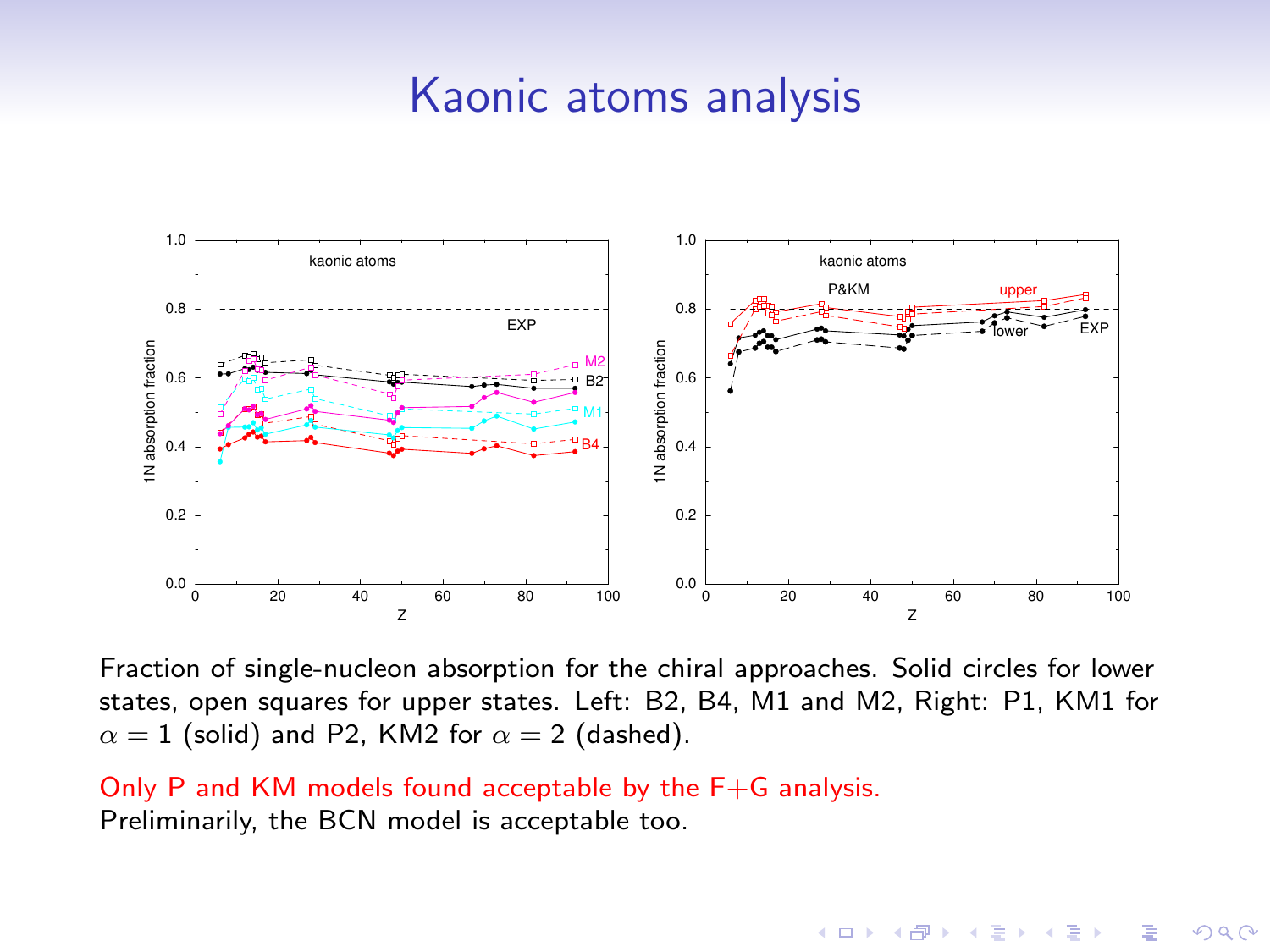

Fraction of single-nucleon absorption for the chiral approaches. Solid circles for lower states, open squares for upper states. Left: B2, B4, M1 and M2, Right: P1, KM1 for  $\alpha = 1$  (solid) and P2, KM2 for  $\alpha = 2$  (dashed).

 $\mathbf{A} \equiv \mathbf{A} + \mathbf{A} + \mathbf{B} + \mathbf{A} + \mathbf{B} + \mathbf{A} + \mathbf{B} + \mathbf{A} + \mathbf{B} + \mathbf{A} + \mathbf{B} + \mathbf{A} + \mathbf{B} + \mathbf{A} + \mathbf{B} + \mathbf{A} + \mathbf{B} + \mathbf{A} + \mathbf{B} + \mathbf{A} + \mathbf{B} + \mathbf{A} + \mathbf{B} + \mathbf{A} + \mathbf{B} + \mathbf{A} + \mathbf{B} + \mathbf{A} + \mathbf{B} + \mathbf{A} + \math$ 

 $2990$ 

Only P and KM models found acceptable by the F+G analysis. Preliminarily, the BCN model is acceptable too.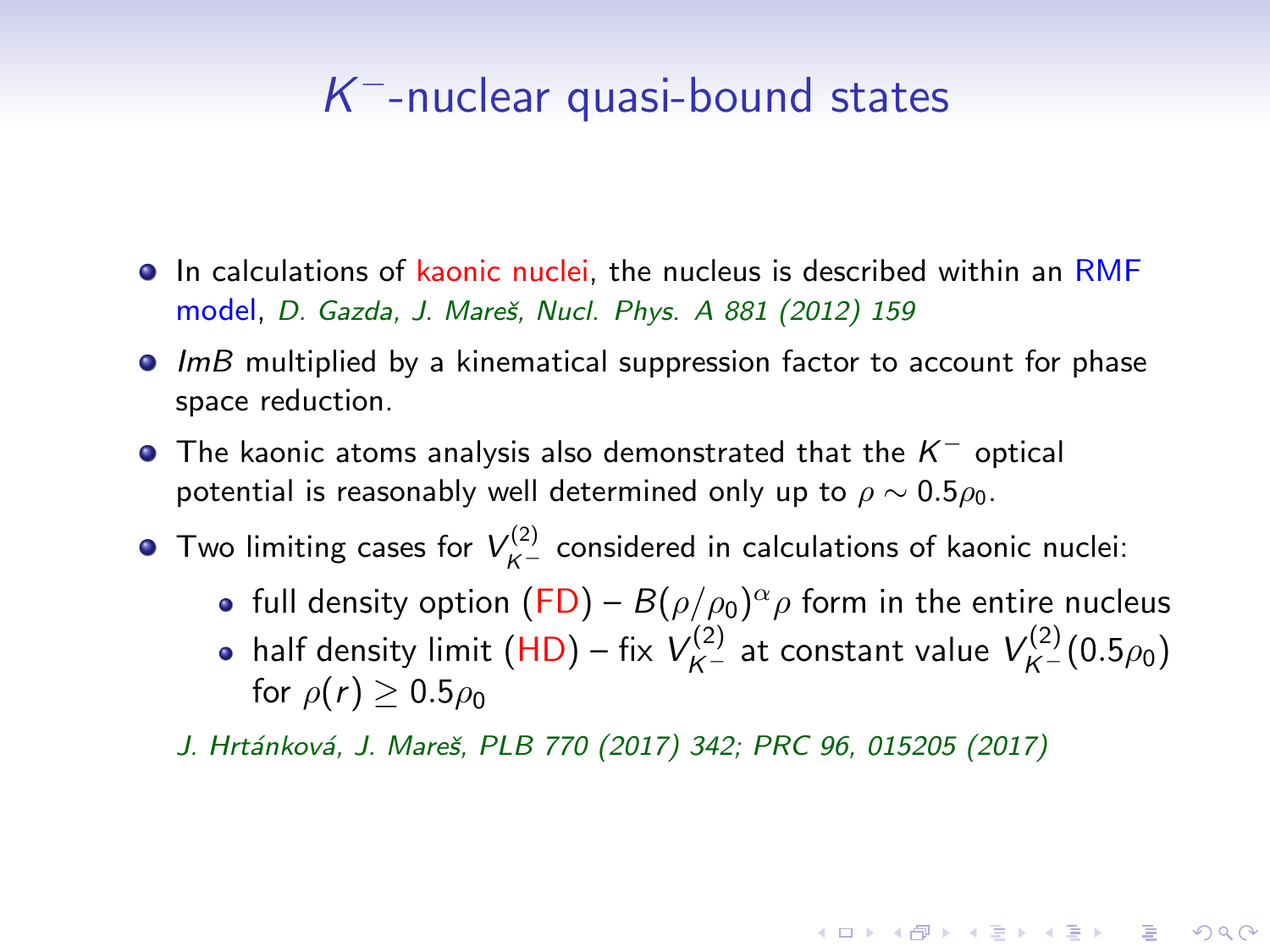# K <sup>−</sup>-nuclear quasi-bound states

- **In calculations of kaonic nuclei, the nucleus is described within an RMF** model, D. Gazda, J. Mareš, Nucl. Phys. A 881 (2012) 159
- $\bullet$  ImB multiplied by a kinematical suppression factor to account for phase space reduction.
- The kaonic atoms analysis also demonstrated that the  $K^-$  optical potential is reasonably well determined only up to  $\rho \sim 0.5 \rho_0$ .
- Two limiting cases for  $V_{K^-}^{(2)}$  considered in calculations of kaonic nuclei:
	- full density option  $(\mathsf{FD}) B(\rho/\rho_0)^\alpha \rho$  form in the entire nucleus
	- half density limit  $(HD)$  fix  $V_{K^-}^{(2)}$  at constant value  $V_{K^-}^{(2)}(0.5\rho_0)$ for  $\rho(r) > 0.5\rho_0$

**KORKAR KERKER EL VOLO** 

J. Hrtánková, J. Mareš, PLB 770 (2017) 342; PRC 96, 015205 (2017)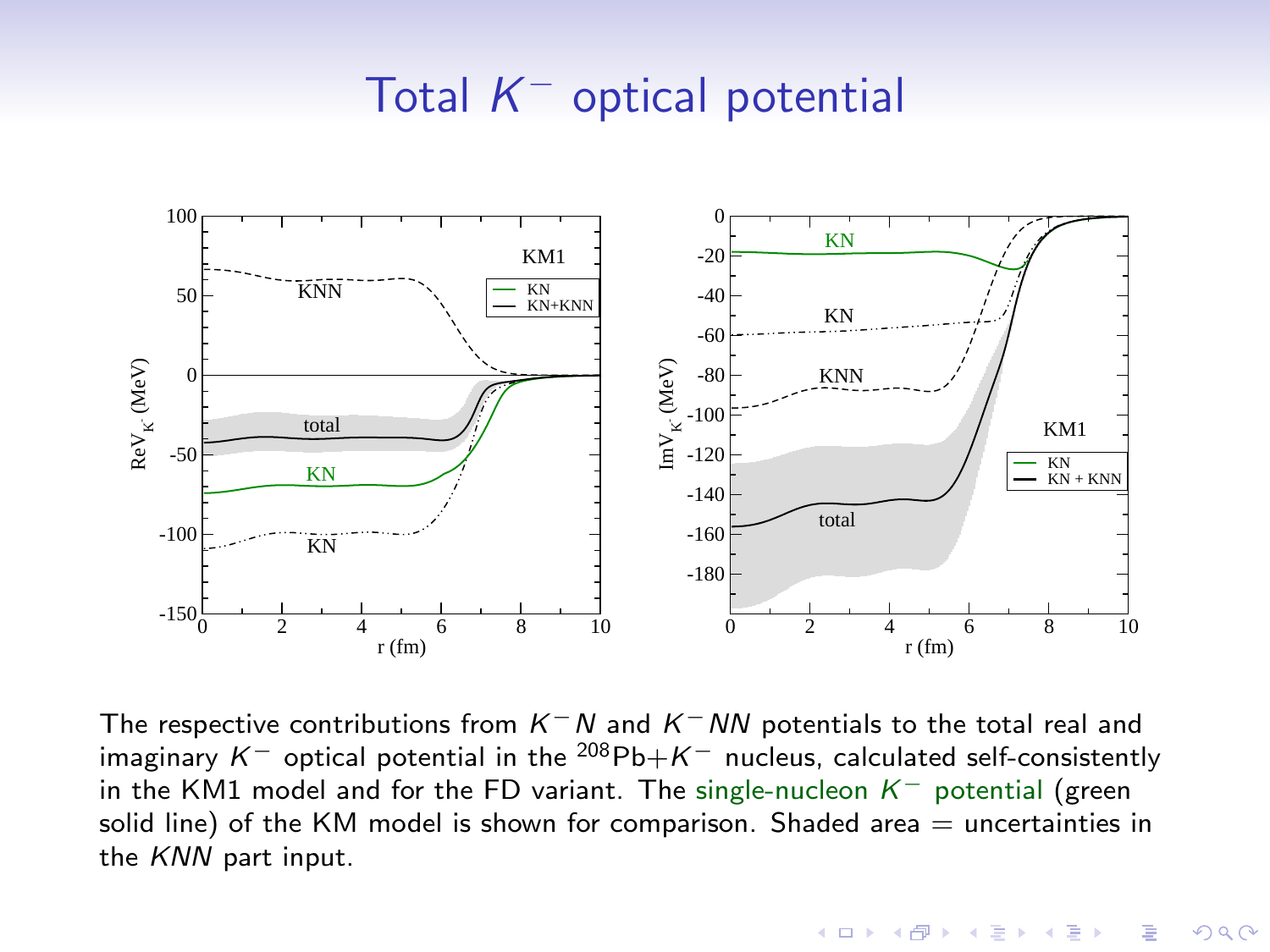# Total  $K^-$  optical potential



The respective contributions from  $K^-N$  and  $K^-NN$  potentials to the total real and imaginary K<sup>-</sup> optical potential in the <sup>208</sup>Pb+K<sup>-</sup> nucleus, calculated self-consistently in the KM1 model and for the FD variant. The single-nucleon  $K^-$  potential (green solid line) of the KM model is shown for comparison. Shaded area  $=$  uncertainties in the KNN part input.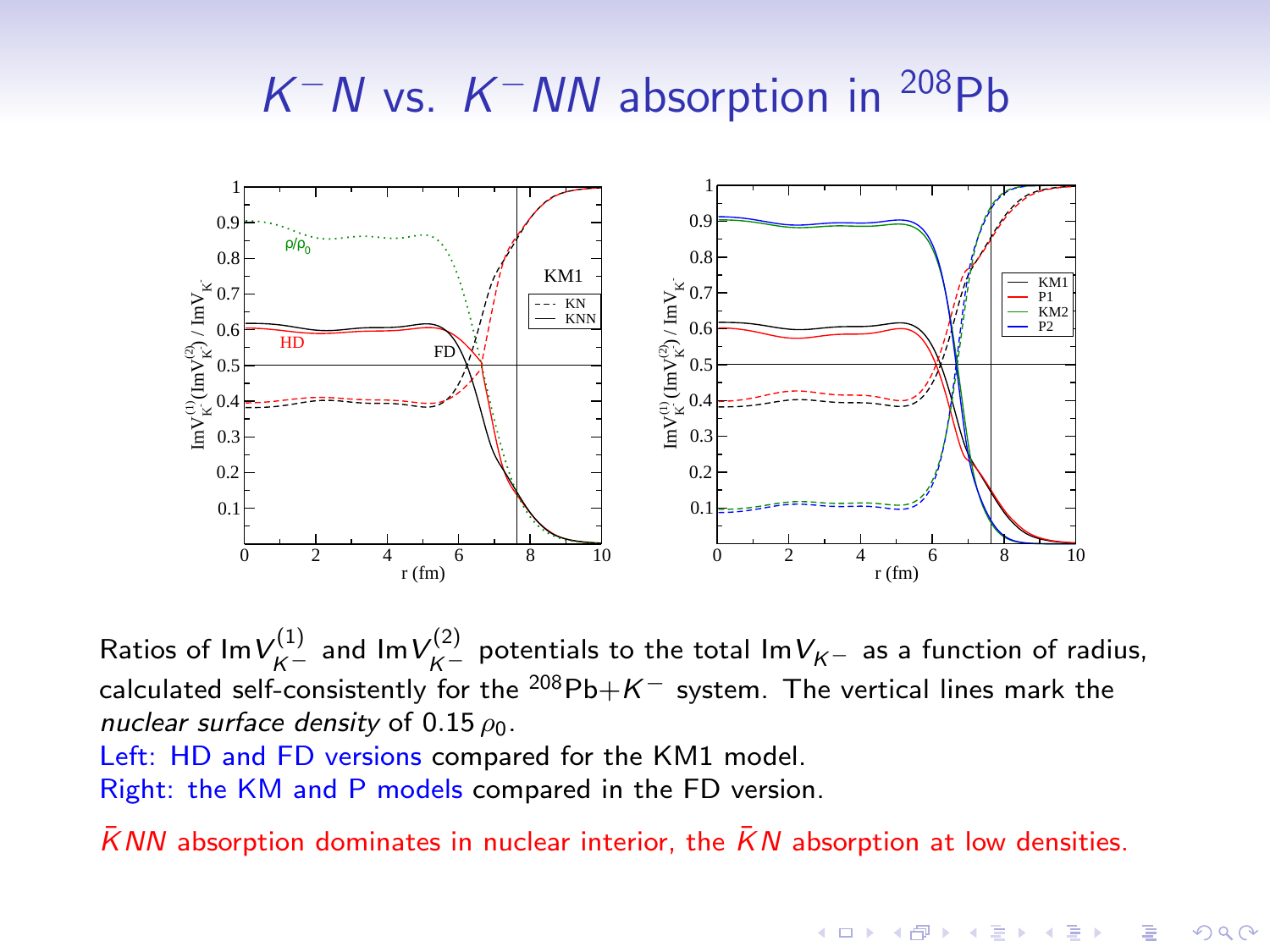# $K^-N$  vs.  $K^-NN$  absorption in <sup>208</sup>Pb



Ratios of Im $V_{K^-}^{(1)}$  and Im $V_{K^-}^{(2)}$  potentials to the total Im $V_{K^-}$  as a function of radius, calculated self-consistently for the  $^{208}Pb+K^-$  system. The vertical lines mark the nuclear surface density of 0.15  $\rho_0$ .

Left: HD and FD versions compared for the KM1 model. Right: the KM and P models compared in the FD version.

 $\overline{K}NN$  absorption dominates in nuclear interior, the  $\overline{K}N$  absorption at low densities.

**KORK ERKER ADE YOUR**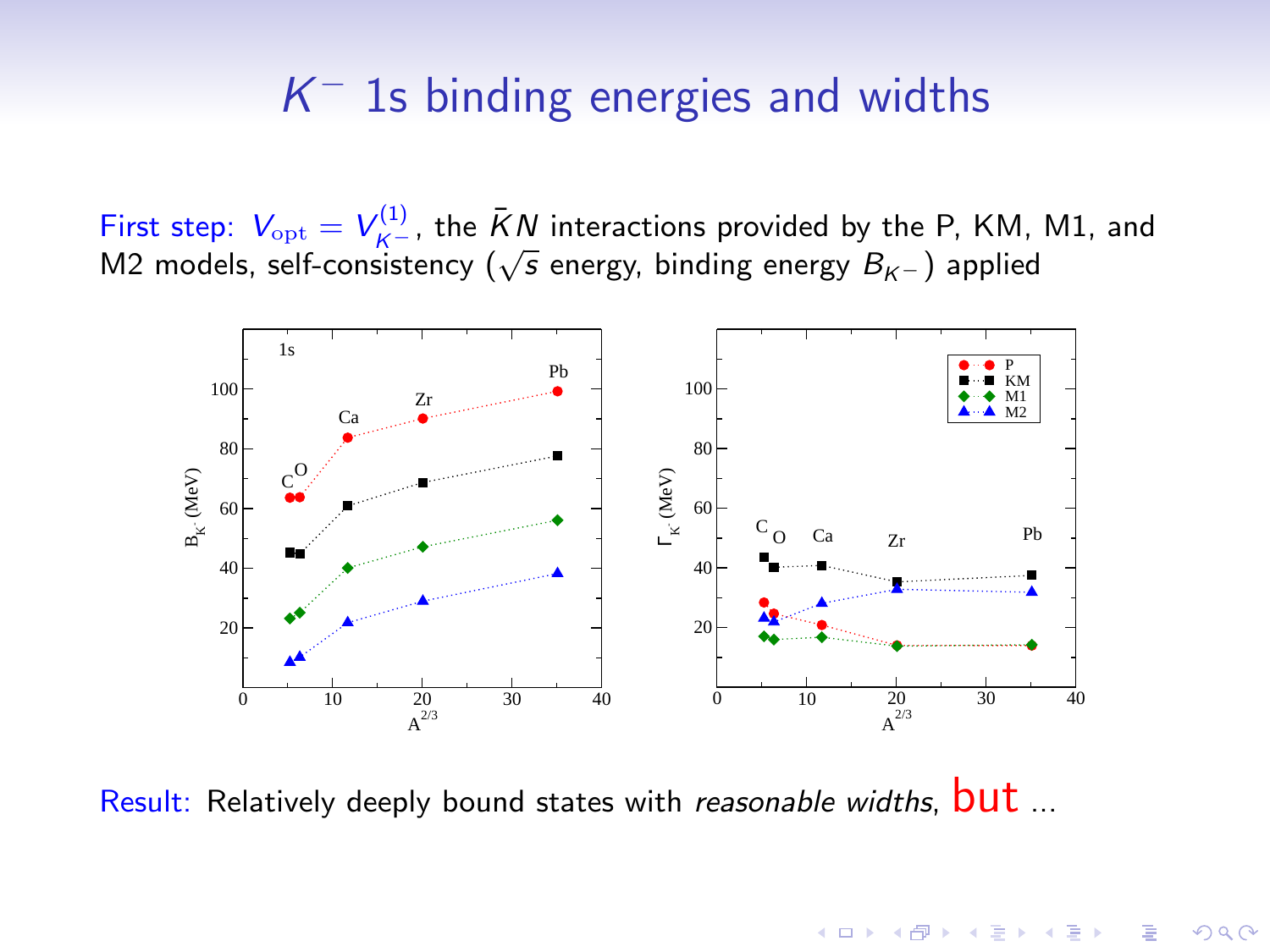# $K^-$  1s binding energies and widths

First step:  $V_{\text{opt}} = V_{K^-}^{(1)}$ , the  $\bar{K}N$  interactions provided by the P, KM, M1, and M2 models, self-consistency ( $\sqrt{s}$  energy, binding energy  $B_{K-}$ ) applied



 $4$  ロ )  $4$   $\overline{r}$  )  $4$   $\overline{z}$  )  $4$   $\overline{z}$  )

 $299$ 

Result: Relatively deeply bound states with reasonable widths, **but** ...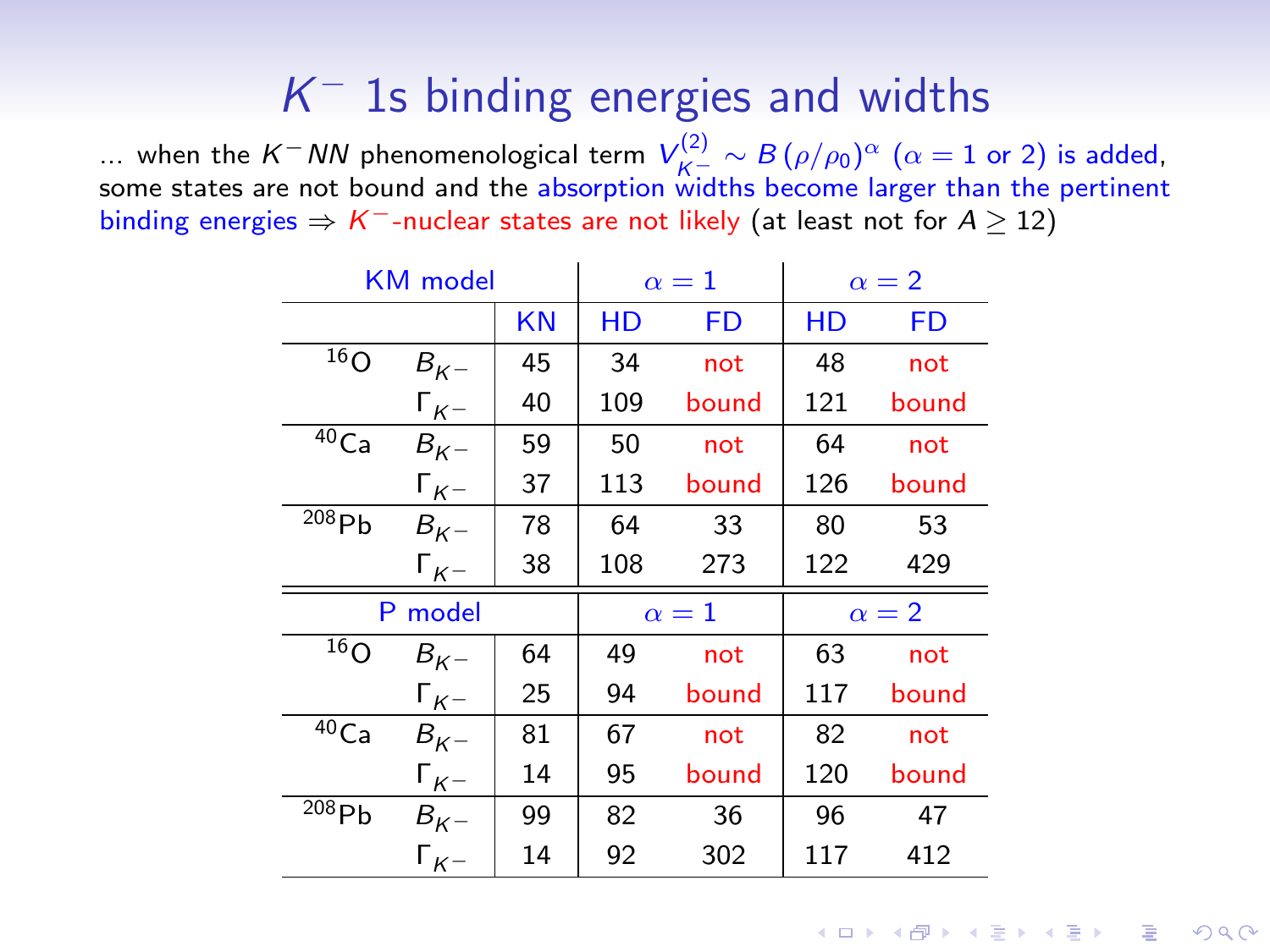# $K^-$  1s binding energies and widths

... when the K<sup>−</sup>NN phenomenological term  $V_{K^- \to K}^{(2)} \sim B(\rho/\rho_0)^{\alpha}$  (α = 1 or 2) is added, some states are not bound and the absorption widths become larger than the pertinent binding energies  $\Rightarrow K^-$ -nuclear states are not likely (at least not for  $A \ge 12$ )

| <b>KM</b> model     |                | $\alpha=1$ |     | $\alpha = 2$ |     |       |
|---------------------|----------------|------------|-----|--------------|-----|-------|
|                     |                | <b>KN</b>  | HD  | FD           | НD  | FD    |
| $\overline{16}$ O   | $B_{K}$        | 45         | 34  | not          | 48  | not   |
|                     | $\Gamma_{K^-}$ | 40         | 109 | bound        | 121 | bound |
| 40Ca                | $B_{K^-}$      | 59         | 50  | not          | 64  | not   |
|                     | $\Gamma_{K^-}$ | 37         | 113 | bound        | 126 | bound |
| $\overline{208}$ Pb | $B_{K^-}$      | 78         | 64  | 33           | 80  | 53    |
|                     | $\Gamma_{K-}$  | 38         | 108 | 273          | 122 | 429   |
| P model             |                | $\alpha=1$ |     | $\alpha = 2$ |     |       |
| 16 <sub>O</sub>     | $B_{K}$        | 64         | 49  | not          | 63  | not   |
|                     | $\Gamma_{K^-}$ | 25         | 94  | bound        | 117 | bound |
| $40$ Ca             | $B_{K-}$       | 81         | 67  | not          | 82  | not   |
|                     | $\Gamma_{K^-}$ | 14         | 95  | bound        | 120 | bound |
| $\overline{208}$ Pb | $B_{K^-}$      | 99         | 82  | 36           | 96  | 47    |
|                     | $\Gamma_{K^-}$ | 14         | 92  | 302          | 117 | 412   |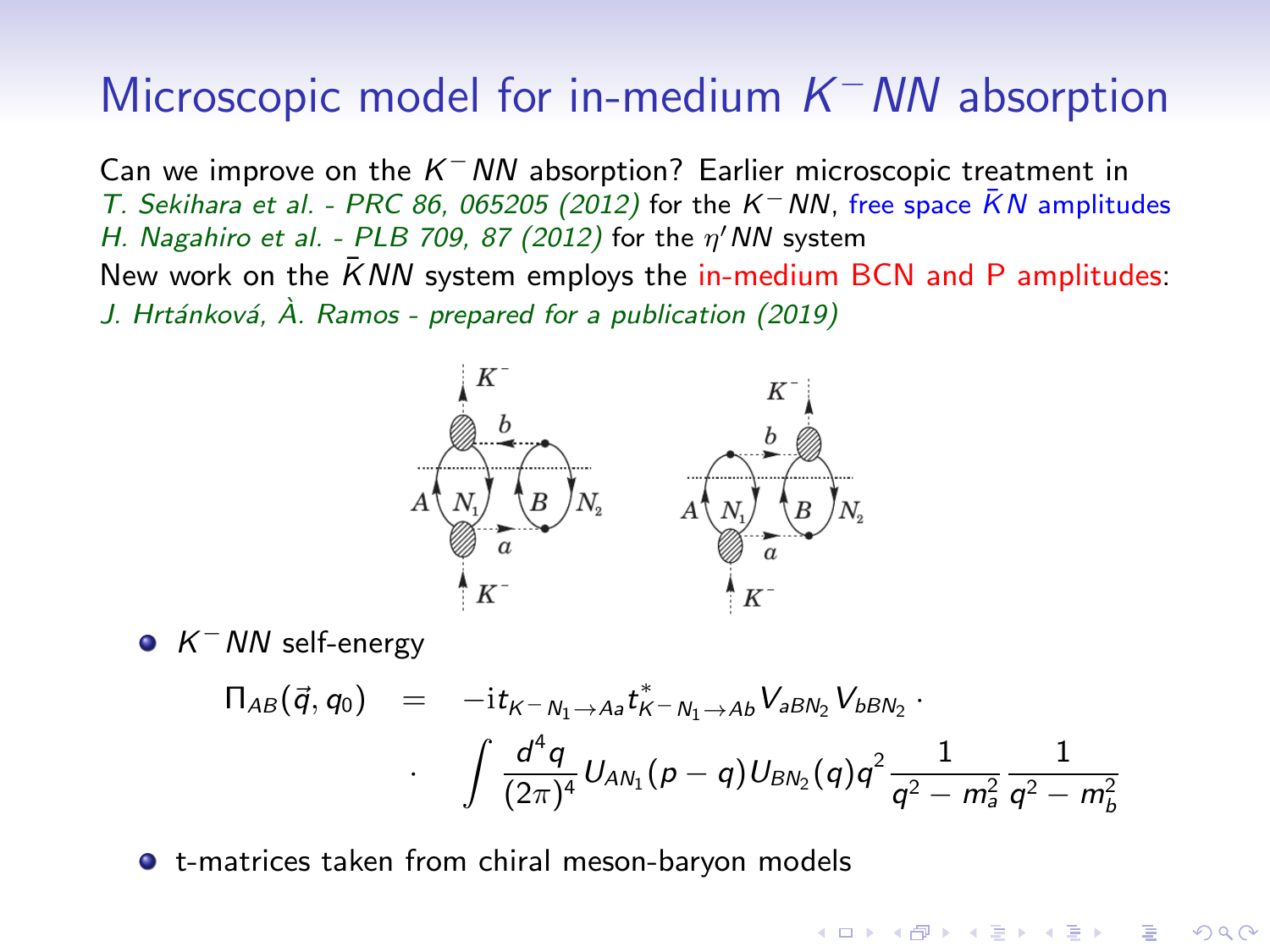# Microscopic model for in-medium  $K$ <sup>-</sup> NN absorption

Can we improve on the  $K^-NN$  absorption? Earlier microscopic treatment in T. Sekihara et al. - PRC 86, 065205 (2012) for the K<sup>-</sup>NN, free space  $\bar{K}N$  amplitudes H. Nagahiro et al. - PLB 709, 87 (2012) for the  $\eta'$  NN system New work on the  $\overline{K}NN$  system employs the in-medium BCN and P amplitudes: J. Hrtánková,  $\hat{A}$ . Ramos - prepared for a publication (2019)



 $K^-$  NN self-energy

$$
\begin{array}{lcl} \Pi_{AB}(\vec{q},q_{0}) & = & -{\rm i}t_{K^{-}N_{1}\rightarrow As}t_{K^{-}N_{1}\rightarrow Ab}^{*}V_{\partial B N_{2}}V_{\partial B N_{2}}\\[2mm] & \cdot & \int \frac{d^{4}q}{(2\pi)^{4}}U_{A N_{1}}(\rho-q)U_{B N_{2}}(q)q^{2}\frac{1}{q^{2}-m_{\partial}^{2}}\frac{1}{q^{2}-m_{b}^{2}} \end{array}
$$

 $\mathbf{E} = \mathbf{A} \oplus \mathbf{A} + \mathbf{A} \oplus \mathbf{A} + \mathbf{A} \oplus \mathbf{A} + \mathbf{A} \oplus \mathbf{A} + \mathbf{A} \oplus \mathbf{A} + \mathbf{A} \oplus \mathbf{A} + \mathbf{A} \oplus \mathbf{A} + \mathbf{A} \oplus \mathbf{A} + \mathbf{A} \oplus \mathbf{A} + \mathbf{A} \oplus \mathbf{A} + \mathbf{A} \oplus \mathbf{A} + \mathbf{A} \oplus \mathbf{A} + \mathbf{A} \oplus \mathbf{A} + \mathbf{A$ 

 $200$ 

t-matrices taken from chiral meson-baryon models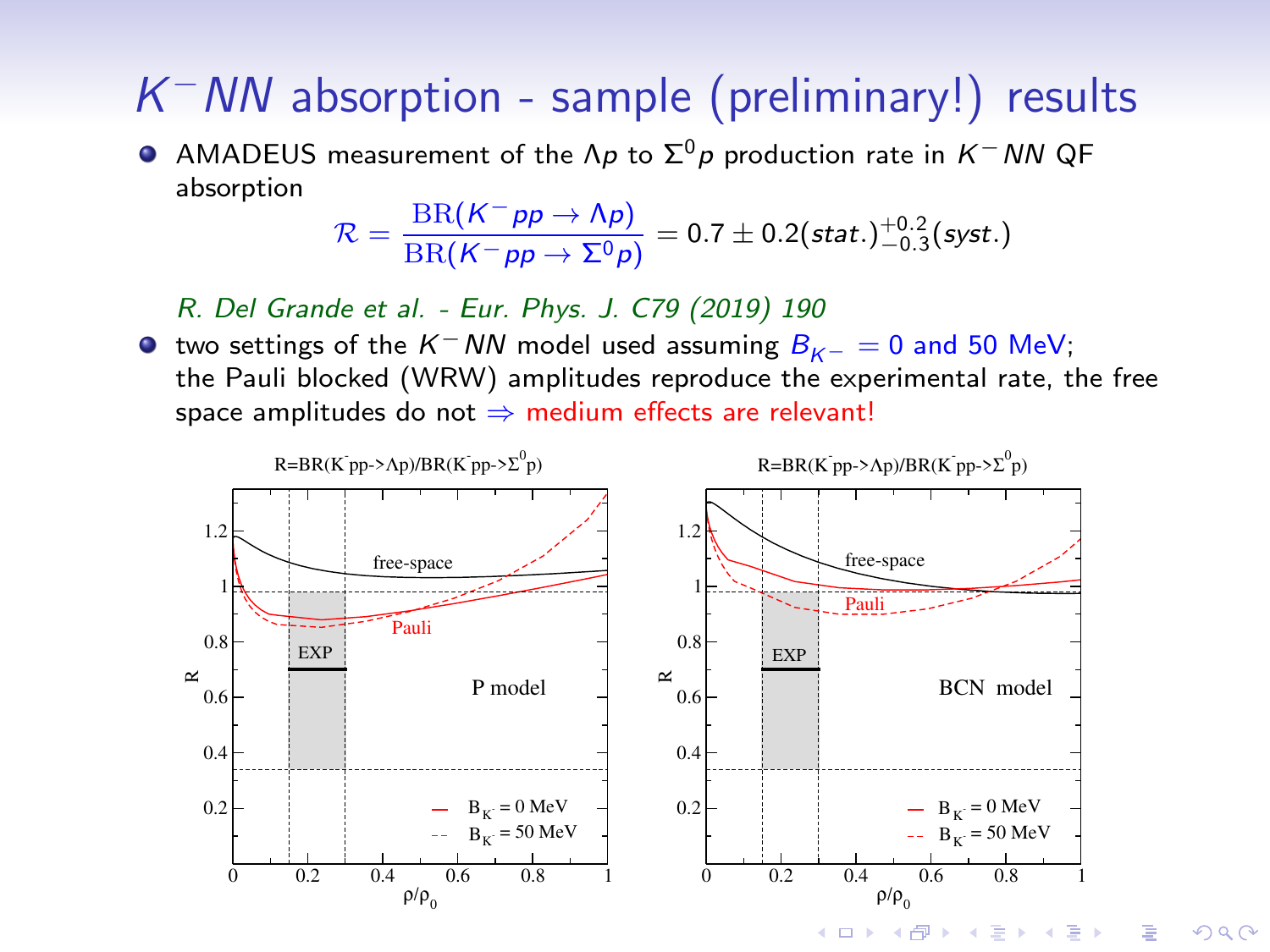# $K$ <sup>-</sup> NN absorption - sample (preliminary!) results

 $\bullet$  AMADEUS measurement of the Λp to  $\Sigma^{0}$ p production rate in K<sup>-</sup>NN QF absorption

$$
\mathcal{R} = \frac{\text{BR}(K^- \rho p \to \Lambda \rho)}{\text{BR}(K^- \rho p \to \Sigma^0 \rho)} = 0.7 \pm 0.2 \text{(stat.)}^{+0.2}_{-0.3} \text{(syst.)}
$$

R. Del Grande et al. - Eur. Phys. J. C79 (2019) 190

 $\bullet$  two settings of the K<sup>−</sup>NN model used assuming  $B_{K-} = 0$  and 50 MeV; the Pauli blocked (WRW) amplitudes reproduce the experimental rate, the free space amplitudes do not  $\Rightarrow$  medium effects are relevant!

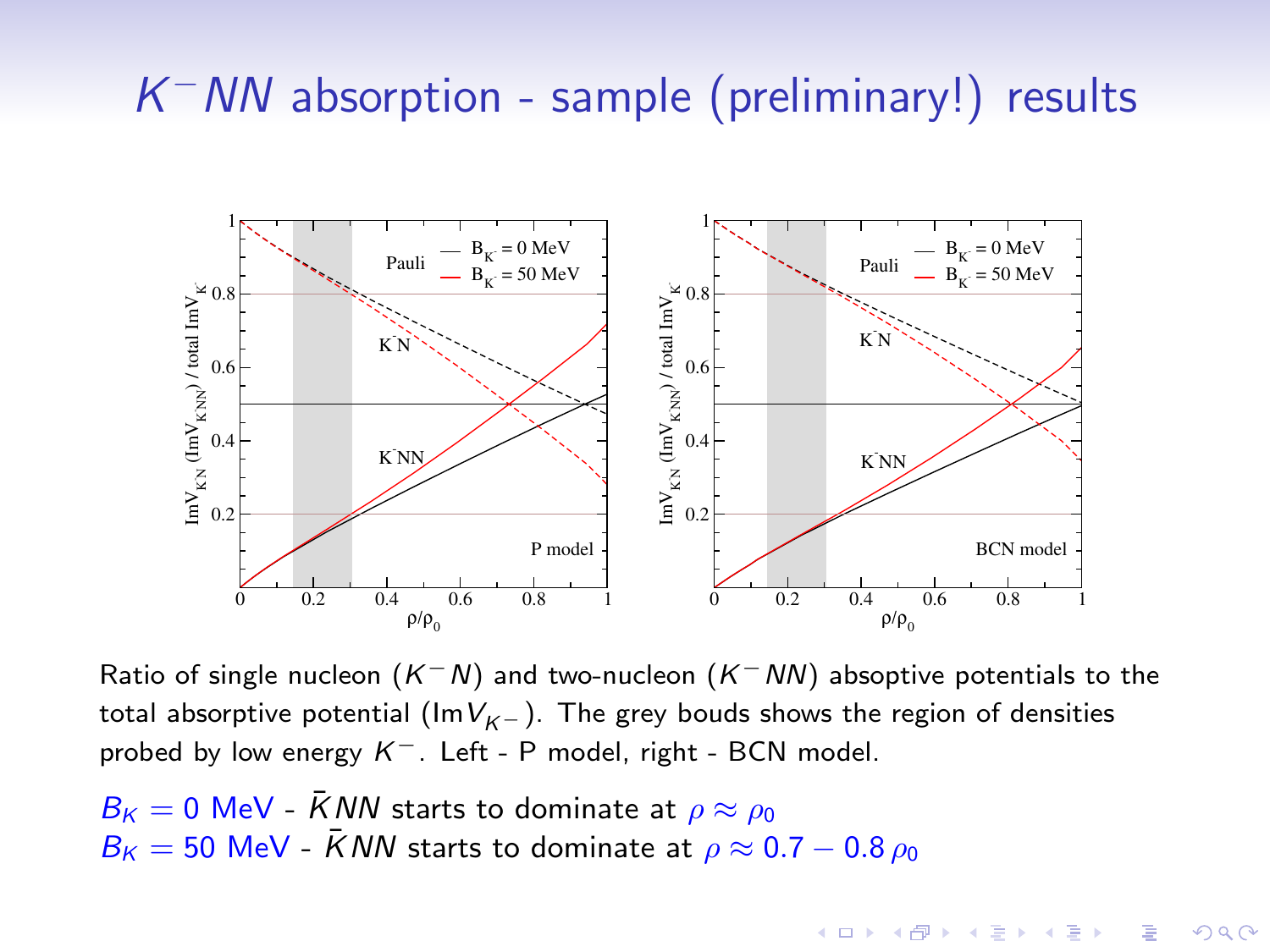# $K$ <sup>-</sup> NN absorption - sample (preliminary!) results



Ratio of single nucleon  $(K^-N)$  and two-nucleon  $(K^-NN)$  absoptive potentials to the total absorptive potential ( $\text{Im}V_{K-}$ ). The grey bouds shows the region of densities probed by low energy K<sup>-</sup>. Left - P model, right - BCN model.

**KORK ERKER ADE YOUR** 

 $B_{\kappa} = 0$  MeV -  $\bar{K}NN$  starts to dominate at  $\rho \approx \rho_0$  $B_K = 50$  MeV -  $\bar{K}NN$  starts to dominate at  $\rho \approx 0.7 - 0.8 \rho_0$